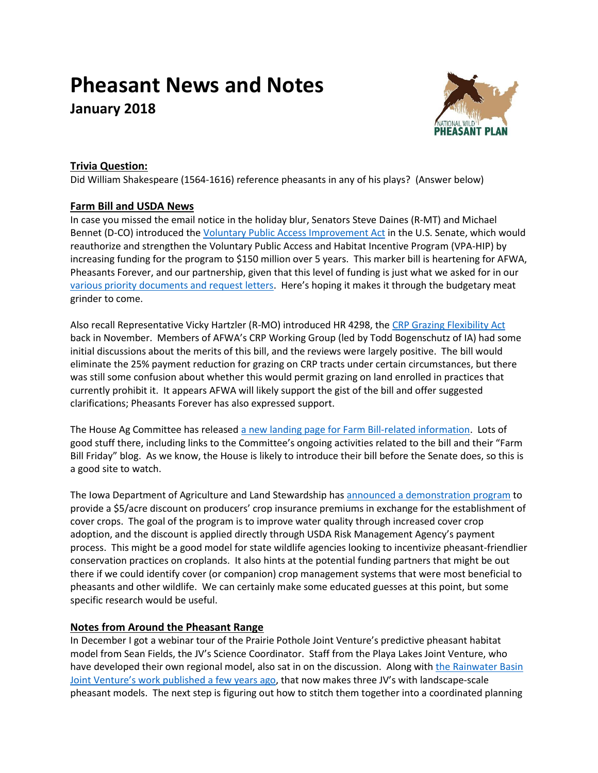# **Pheasant News and Notes January 2018**



# **Trivia Question:**

Did William Shakespeare (1564-1616) reference pheasants in any of his plays? (Answer below)

## **Farm Bill and USDA News**

In case you missed the email notice in the holiday blur, Senators Steve Daines (R-MT) and Michael Bennet (D-CO) introduced the [Voluntary Public Access Improvement Act](https://www.congress.gov/bill/115th-congress/senate-bill/2243) in the U.S. Senate, which would reauthorize and strengthen the Voluntary Public Access and Habitat Incentive Program (VPA-HIP) by increasing funding for the program to \$150 million over 5 years. This marker bill is heartening for AFWA, Pheasants Forever, and our partnership, given that this level of funding is just what we asked for in our [various priority documents and request letters](http://nationalpheasantplan.org/policy/). Here's hoping it makes it through the budgetary meat grinder to come.

Also recall Representative Vicky Hartzler (R-MO) introduced HR 4298, th[e CRP Grazing Flexibility Act](https://www.congress.gov/bill/115th-congress/house-bill/4298) back in November. Members of AFWA's CRP Working Group (led by Todd Bogenschutz of IA) had some initial discussions about the merits of this bill, and the reviews were largely positive. The bill would eliminate the 25% payment reduction for grazing on CRP tracts under certain circumstances, but there was still some confusion about whether this would permit grazing on land enrolled in practices that currently prohibit it. It appears AFWA will likely support the gist of the bill and offer suggested clarifications; Pheasants Forever has also expressed support.

The House Ag Committee has released [a new landing page for Farm Bill-related information.](https://agriculture.house.gov/farmbill/) Lots of good stuff there, including links to the Committee's ongoing activities related to the bill and their "Farm Bill Friday" blog. As we know, the House is likely to introduce their bill before the Senate does, so this is a good site to watch.

The Iowa Department of Agriculture and Land Stewardship has [announced a demonstration](https://www.cleanwateriowa.org/covercropdemo-main/) program to provide a \$5/acre discount on producers' crop insurance premiums in exchange for the establishment of cover crops. The goal of the program is to improve water quality through increased cover crop adoption, and the discount is applied directly through USDA Risk Management Agency's payment process. This might be a good model for state wildlife agencies looking to incentivize pheasant-friendlier conservation practices on croplands. It also hints at the potential funding partners that might be out there if we could identify cover (or companion) crop management systems that were most beneficial to pheasants and other wildlife. We can certainly make some educated guesses at this point, but some specific research would be useful.

## **Notes from Around the Pheasant Range**

In December I got a webinar tour of the Prairie Pothole Joint Venture's predictive pheasant habitat model from Sean Fields, the JV's Science Coordinator. Staff from the Playa Lakes Joint Venture, who have developed their own regional model, also sat in on the discussion. Along with [the Rainwater Basin](http://journals.plos.org/plosone/article?id=10.1371/journal.pone.0099339)  Joint Venture's work [published a few years ago](http://journals.plos.org/plosone/article?id=10.1371/journal.pone.0099339), that now makes three JV's with landscape-scale pheasant models. The next step is figuring out how to stitch them together into a coordinated planning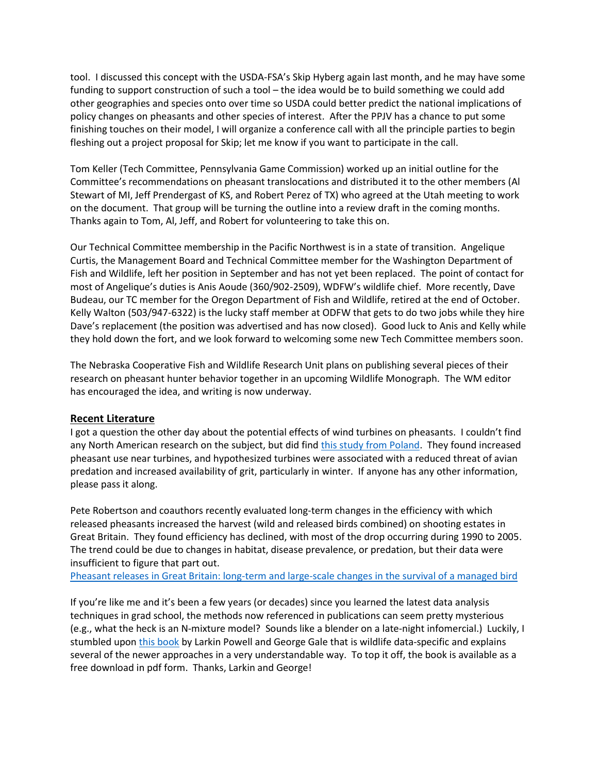tool. I discussed this concept with the USDA-FSA's Skip Hyberg again last month, and he may have some funding to support construction of such a tool – the idea would be to build something we could add other geographies and species onto over time so USDA could better predict the national implications of policy changes on pheasants and other species of interest. After the PPJV has a chance to put some finishing touches on their model, I will organize a conference call with all the principle parties to begin fleshing out a project proposal for Skip; let me know if you want to participate in the call.

Tom Keller (Tech Committee, Pennsylvania Game Commission) worked up an initial outline for the Committee's recommendations on pheasant translocations and distributed it to the other members (Al Stewart of MI, Jeff Prendergast of KS, and Robert Perez of TX) who agreed at the Utah meeting to work on the document. That group will be turning the outline into a review draft in the coming months. Thanks again to Tom, Al, Jeff, and Robert for volunteering to take this on.

Our Technical Committee membership in the Pacific Northwest is in a state of transition. Angelique Curtis, the Management Board and Technical Committee member for the Washington Department of Fish and Wildlife, left her position in September and has not yet been replaced. The point of contact for most of Angelique's duties is Anis Aoude (360/902-2509), WDFW's wildlife chief. More recently, Dave Budeau, our TC member for the Oregon Department of Fish and Wildlife, retired at the end of October. Kelly Walton (503/947-6322) is the lucky staff member at ODFW that gets to do two jobs while they hire Dave's replacement (the position was advertised and has now closed). Good luck to Anis and Kelly while they hold down the fort, and we look forward to welcoming some new Tech Committee members soon.

The Nebraska Cooperative Fish and Wildlife Research Unit plans on publishing several pieces of their research on pheasant hunter behavior together in an upcoming Wildlife Monograph. The WM editor has encouraged the idea, and writing is now underway.

#### **Recent Literature**

I got a question the other day about the potential effects of wind turbines on pheasants. I couldn't find any North American research on the subject, but did fin[d this study from Poland.](http://nationalpheasantplan.org/wp-content/uploads/2017/12/Pheasants-and-wind-turbines-in-Poland-Env-Monit-Assess-2017.pdf) They found increased pheasant use near turbines, and hypothesized turbines were associated with a reduced threat of avian predation and increased availability of grit, particularly in winter. If anyone has any other information, please pass it along.

Pete Robertson and coauthors recently evaluated long-term changes in the efficiency with which released pheasants increased the harvest (wild and released birds combined) on shooting estates in Great Britain. They found efficiency has declined, with most of the drop occurring during 1990 to 2005. The trend could be due to changes in habitat, disease prevalence, or predation, but their data were insufficient to figure that part out.

Pheasant releases [in Great Britain: long-term and large-scale changes in the survival of a managed bird](https://link.springer.com/article/10.1007%2Fs10344-017-1157-7)

If you're like me and it's been a few years (or decades) since you learned the latest data analysis techniques in grad school, the methods now referenced in publications can seem pretty mysterious (e.g., what the heck is an N-mixture model? Sounds like a blender on a late-night infomercial.) Luckily, I stumbled upon [this book](http://larkinpowell.wixsite.com/larkinpowell/estimation-of-parameters-for-animal-pop) by Larkin Powell and George Gale that is wildlife data-specific and explains several of the newer approaches in a very understandable way. To top it off, the book is available as a free download in pdf form. Thanks, Larkin and George!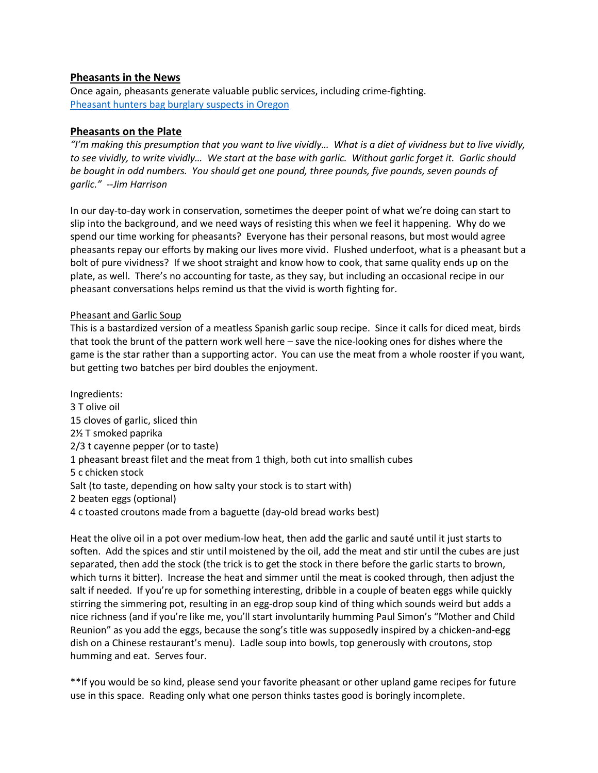#### **Pheasants in the News**

Once again, pheasants generate valuable public services, including crime-fighting. [Pheasant hunters bag burglary suspects in Oregon](http://www.eastoregonian.com/eo/local-news/20171218/pheasant-hunters-bag-burglary-suspects)

## **Pheasants on the Plate**

*"I'm making this presumption that you want to live vividly… What is a diet of vividness but to live vividly, to see vividly, to write vividly… We start at the base with garlic. Without garlic forget it. Garlic should be bought in odd numbers. You should get one pound, three pounds, five pounds, seven pounds of garlic." --Jim Harrison*

In our day-to-day work in conservation, sometimes the deeper point of what we're doing can start to slip into the background, and we need ways of resisting this when we feel it happening. Why do we spend our time working for pheasants? Everyone has their personal reasons, but most would agree pheasants repay our efforts by making our lives more vivid. Flushed underfoot, what is a pheasant but a bolt of pure vividness? If we shoot straight and know how to cook, that same quality ends up on the plate, as well. There's no accounting for taste, as they say, but including an occasional recipe in our pheasant conversations helps remind us that the vivid is worth fighting for.

#### Pheasant and Garlic Soup

This is a bastardized version of a meatless Spanish garlic soup recipe. Since it calls for diced meat, birds that took the brunt of the pattern work well here – save the nice-looking ones for dishes where the game is the star rather than a supporting actor. You can use the meat from a whole rooster if you want, but getting two batches per bird doubles the enjoyment.

Ingredients: 3 T olive oil 15 cloves of garlic, sliced thin 2½ T smoked paprika 2/3 t cayenne pepper (or to taste) 1 pheasant breast filet and the meat from 1 thigh, both cut into smallish cubes 5 c chicken stock Salt (to taste, depending on how salty your stock is to start with) 2 beaten eggs (optional) 4 c toasted croutons made from a baguette (day-old bread works best)

Heat the olive oil in a pot over medium-low heat, then add the garlic and sauté until it just starts to soften. Add the spices and stir until moistened by the oil, add the meat and stir until the cubes are just separated, then add the stock (the trick is to get the stock in there before the garlic starts to brown, which turns it bitter). Increase the heat and simmer until the meat is cooked through, then adjust the salt if needed. If you're up for something interesting, dribble in a couple of beaten eggs while quickly stirring the simmering pot, resulting in an egg-drop soup kind of thing which sounds weird but adds a nice richness (and if you're like me, you'll start involuntarily humming Paul Simon's "Mother and Child Reunion" as you add the eggs, because the song's title was supposedly inspired by a chicken-and-egg dish on a Chinese restaurant's menu). Ladle soup into bowls, top generously with croutons, stop humming and eat. Serves four.

\*\*If you would be so kind, please send your favorite pheasant or other upland game recipes for future use in this space. Reading only what one person thinks tastes good is boringly incomplete.